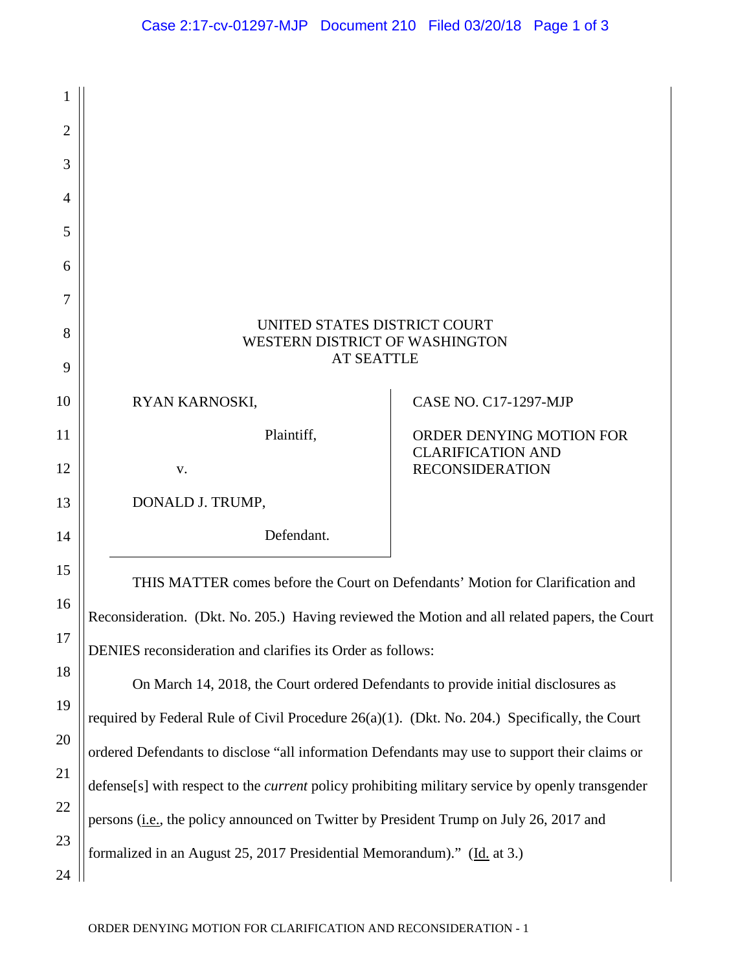| 1              |                                                                                                         |                                                    |
|----------------|---------------------------------------------------------------------------------------------------------|----------------------------------------------------|
| $\overline{2}$ |                                                                                                         |                                                    |
| 3              |                                                                                                         |                                                    |
| 4              |                                                                                                         |                                                    |
| 5              |                                                                                                         |                                                    |
| 6              |                                                                                                         |                                                    |
| 7              |                                                                                                         |                                                    |
| 8              | UNITED STATES DISTRICT COURT<br>WESTERN DISTRICT OF WASHINGTON                                          |                                                    |
| 9              | <b>AT SEATTLE</b>                                                                                       |                                                    |
| 10             | RYAN KARNOSKI,                                                                                          | <b>CASE NO. C17-1297-MJP</b>                       |
| 11             | Plaintiff,                                                                                              | ORDER DENYING MOTION FOR                           |
| 12             | V.                                                                                                      | <b>CLARIFICATION AND</b><br><b>RECONSIDERATION</b> |
| 13             | DONALD J. TRUMP,                                                                                        |                                                    |
| 14             | Defendant.                                                                                              |                                                    |
| 15             | THIS MATTER comes before the Court on Defendants' Motion for Clarification and                          |                                                    |
| 16             |                                                                                                         |                                                    |
| 17             | Reconsideration. (Dkt. No. 205.) Having reviewed the Motion and all related papers, the Court           |                                                    |
|                | DENIES reconsideration and clarifies its Order as follows:                                              |                                                    |
| 18             | On March 14, 2018, the Court ordered Defendants to provide initial disclosures as                       |                                                    |
| 19             | required by Federal Rule of Civil Procedure 26(a)(1). (Dkt. No. 204.) Specifically, the Court           |                                                    |
| 20             | ordered Defendants to disclose "all information Defendants may use to support their claims or           |                                                    |
| 21             | defense[s] with respect to the <i>current</i> policy prohibiting military service by openly transgender |                                                    |
| 22             | persons ( <i>i.e.</i> , the policy announced on Twitter by President Trump on July 26, 2017 and         |                                                    |
| 23             | formalized in an August 25, 2017 Presidential Memorandum)." (Id. at 3.)                                 |                                                    |
| 24             |                                                                                                         |                                                    |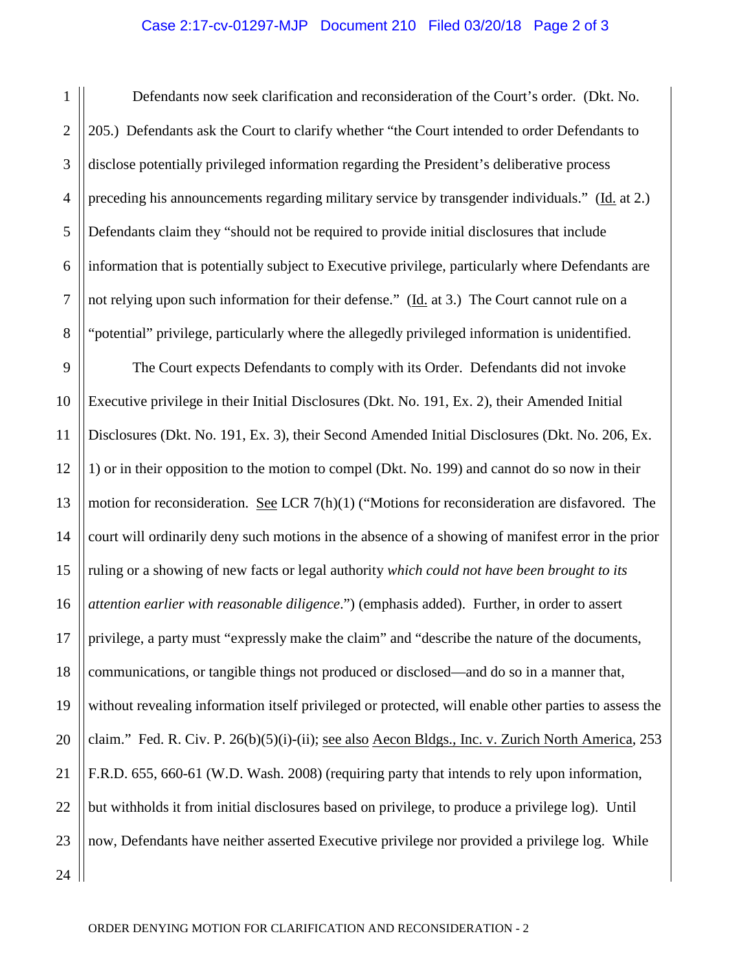## Case 2:17-cv-01297-MJP Document 210 Filed 03/20/18 Page 2 of 3

1 2 3 4 5 6 7 8 Defendants now seek clarification and reconsideration of the Court's order. (Dkt. No. 205.) Defendants ask the Court to clarify whether "the Court intended to order Defendants to disclose potentially privileged information regarding the President's deliberative process preceding his announcements regarding military service by transgender individuals." (Id. at 2.) Defendants claim they "should not be required to provide initial disclosures that include information that is potentially subject to Executive privilege, particularly where Defendants are not relying upon such information for their defense." (Id. at 3.) The Court cannot rule on a "potential" privilege, particularly where the allegedly privileged information is unidentified.

9 10 11 12 13 14 15 16 17 18 19 20 21 22 23 24 The Court expects Defendants to comply with its Order. Defendants did not invoke Executive privilege in their Initial Disclosures (Dkt. No. 191, Ex. 2), their Amended Initial Disclosures (Dkt. No. 191, Ex. 3), their Second Amended Initial Disclosures (Dkt. No. 206, Ex. 1) or in their opposition to the motion to compel (Dkt. No. 199) and cannot do so now in their motion for reconsideration. See LCR 7(h)(1) ("Motions for reconsideration are disfavored. The court will ordinarily deny such motions in the absence of a showing of manifest error in the prior ruling or a showing of new facts or legal authority *which could not have been brought to its attention earlier with reasonable diligence*.") (emphasis added). Further, in order to assert privilege, a party must "expressly make the claim" and "describe the nature of the documents, communications, or tangible things not produced or disclosed—and do so in a manner that, without revealing information itself privileged or protected, will enable other parties to assess the claim." Fed. R. Civ. P. 26(b)(5)(i)-(ii); see also Aecon Bldgs., Inc. v. Zurich North America, 253 F.R.D. 655, 660-61 (W.D. Wash. 2008) (requiring party that intends to rely upon information, but withholds it from initial disclosures based on privilege, to produce a privilege log). Until now, Defendants have neither asserted Executive privilege nor provided a privilege log. While